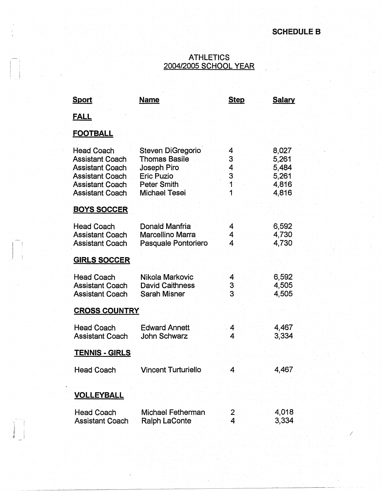/

#### ATHLETICS 2004/2005 SCHOOL YEAR

| <b>Sport</b>                                                                                                                                        | <b>Name</b>                                                                                                                 | <b>Step</b>                | <b>Salary</b>                                      |
|-----------------------------------------------------------------------------------------------------------------------------------------------------|-----------------------------------------------------------------------------------------------------------------------------|----------------------------|----------------------------------------------------|
| <u>FALL</u>                                                                                                                                         |                                                                                                                             |                            |                                                    |
| <b>FOOTBALL</b>                                                                                                                                     |                                                                                                                             |                            |                                                    |
| <b>Head Coach</b><br><b>Assistant Coach</b><br><b>Assistant Coach</b><br><b>Assistant Coach</b><br><b>Assistant Coach</b><br><b>Assistant Coach</b> | <b>Steven DiGregorio</b><br><b>Thomas Basile</b><br>Joseph Piro<br><b>Eric Puzio</b><br><b>Peter Smith</b><br>Michael Tesei | 4<br>3<br>4<br>3<br>1<br>1 | 8,027<br>5,261<br>5,484<br>5,261<br>4,816<br>4,816 |
| <b>BOYS SOCCER</b>                                                                                                                                  |                                                                                                                             |                            |                                                    |
| <b>Head Coach</b><br><b>Assistant Coach</b><br><b>Assistant Coach</b>                                                                               | Donald Manfria<br>Marcellino Marra<br>Pasquale Pontoriero                                                                   | 4<br>4<br>4                | 6,592<br>4,730<br>4,730                            |
| <b>GIRLS SOCCER</b>                                                                                                                                 |                                                                                                                             |                            |                                                    |
| <b>Head Coach</b><br><b>Assistant Coach</b><br><b>Assistant Coach</b>                                                                               | Nikola Markovic<br><b>David Caithness</b><br><b>Sarah Misner</b>                                                            | $\overline{4}$<br>3<br>3   | 6,592<br>4,505<br>4,505                            |
| <b>CROSS COUNTRY</b>                                                                                                                                |                                                                                                                             |                            |                                                    |
| <b>Head Coach</b><br><b>Assistant Coach</b>                                                                                                         | <b>Edward Annett</b><br><b>John Schwarz</b>                                                                                 | 4<br>4                     | 4,467<br>3,334                                     |
| <u>TENNIS - GIRLS</u>                                                                                                                               |                                                                                                                             |                            |                                                    |
| <b>Head Coach</b>                                                                                                                                   | <b>Vincent Turturiello</b>                                                                                                  | Δ                          | 4,467                                              |
| <b>VOLLEYBALL</b>                                                                                                                                   |                                                                                                                             |                            |                                                    |
| <b>Head Coach</b><br><b>Assistant Coach</b>                                                                                                         | Michael Fetherman<br>Ralph LaConte                                                                                          | 2<br>4                     | 4,018<br>3,334                                     |

 $\frac{1}{2}$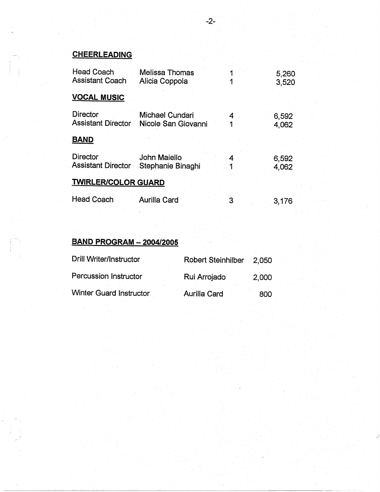# **CHEERLEADING**

| <b>Head Coach</b><br><b>Assistant Coach</b>  | <b>Melissa Thomas</b><br>Alicia Coppola |        | 5,260<br>3,520 |
|----------------------------------------------|-----------------------------------------|--------|----------------|
| <b>VOCAL MUSIC</b>                           |                                         |        |                |
| <b>Director</b><br><b>Assistant Director</b> | Michael Cundari<br>Nicole San Giovanni  |        | 6,592<br>4,062 |
| <b>BAND</b>                                  |                                         |        |                |
| Director<br><b>Assistant Director</b>        | John Maiello<br>Stephanie Binaghi       | 4<br>1 | 6,592<br>4,062 |
| <b>TWIRLER/COLOR GUARD</b>                   |                                         |        |                |
| <b>Head Coach</b>                            | <b>Aurilla Card</b>                     | З      | 3,176          |

## **BAND PROGRAM - 2004/2005**

| Drill Writer/Instructor | <b>Robert Steinhilber</b> | 2.050    |  |
|-------------------------|---------------------------|----------|--|
| Percussion Instructor   | Rui Arrojado              | $-2,000$ |  |
| Winter Guard Instructor | <b>Aurilla Card</b>       | 800      |  |

/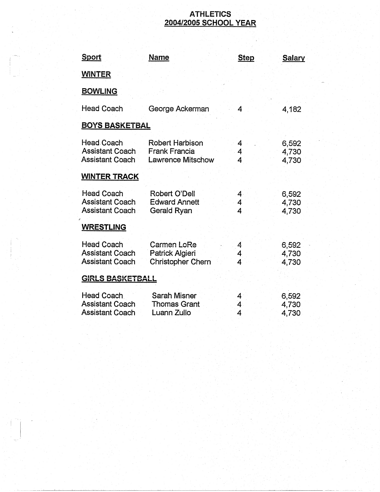### **ATHLETICS 2004/2005 SCHOOL YEAR**

| Sport                                                                 | <b>Name</b>                                                         | <b>Step</b>                       | <b>Salary</b>           |
|-----------------------------------------------------------------------|---------------------------------------------------------------------|-----------------------------------|-------------------------|
| <b>WINTER</b>                                                         |                                                                     |                                   |                         |
| <b>BOWLING</b>                                                        |                                                                     |                                   |                         |
| <b>Head Coach</b>                                                     | George Ackerman                                                     | 4                                 | 4,182                   |
| <b>BOYS BASKETBAL</b>                                                 |                                                                     |                                   |                         |
| Head Coach<br><b>Assistant Coach</b><br><b>Assistant Coach</b>        | Robert Harbison<br><b>Frank Francia</b><br><b>Lawrence Mitschow</b> | 4<br>4<br>4                       | 6,592<br>4,730<br>4,730 |
| <b>WINTER TRACK</b>                                                   |                                                                     |                                   |                         |
| <b>Head Coach</b><br><b>Assistant Coach</b><br><b>Assistant Coach</b> | <b>Robert O'Dell</b><br><b>Edward Annett</b><br>Gerald Ryan         | 4.<br>4<br>4                      | 6,592<br>4,730<br>4,730 |
| <b>WRESTLING</b>                                                      |                                                                     |                                   |                         |
| <b>Head Coach</b><br><b>Assistant Coach</b><br><b>Assistant Coach</b> | <b>Carmen LoRe</b><br>Patrick Algieri<br><b>Christopher Chern</b>   | 4<br>4<br>4                       | 6,592<br>4,730<br>4,730 |
| <b>GIRLS BASKETBALL</b>                                               |                                                                     |                                   |                         |
| Head Coach<br><b>Assistant Coach</b><br><b>Assistant Coach</b>        | <b>Sarah Misner</b><br><b>Thomas Grant</b><br>Luann Zullo           | 4<br>$\overline{\mathbf{4}}$<br>4 | 6,592<br>4,730<br>4,730 |

!<br>|-<br>|-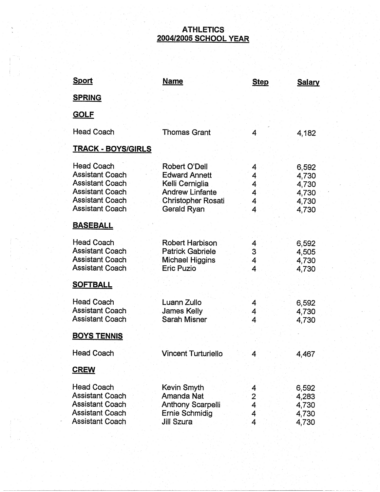### **ATHLETICS· 2004/2005 SCHOOL YEAR**

| Sport                                                                                                                                        | <b>Name</b>                                                                                                                    | <b>Step</b>                      | <u>Salary</u>                                      |
|----------------------------------------------------------------------------------------------------------------------------------------------|--------------------------------------------------------------------------------------------------------------------------------|----------------------------------|----------------------------------------------------|
| <b>SPRING</b>                                                                                                                                |                                                                                                                                |                                  |                                                    |
| <b>GOLF</b>                                                                                                                                  |                                                                                                                                |                                  |                                                    |
| <b>Head Coach</b>                                                                                                                            | <b>Thomas Grant</b>                                                                                                            | 4                                | 4,182                                              |
| <b>TRACK - BOYS/GIRLS</b>                                                                                                                    |                                                                                                                                |                                  |                                                    |
| Head Coach<br><b>Assistant Coach</b><br><b>Assistant Coach</b><br><b>Assistant Coach</b><br><b>Assistant Coach</b><br><b>Assistant Coach</b> | Robert O'Dell<br><b>Edward Annett</b><br>Kelli Cerniglia<br><b>Andrew Linfante</b><br><b>Christopher Rosati</b><br>Gerald Ryan | 4<br>4<br>4<br>4<br>4<br>4       | 6,592<br>4,730<br>4,730<br>4,730<br>4,730<br>4,730 |
| <b>BASEBALL</b>                                                                                                                              |                                                                                                                                |                                  |                                                    |
| <b>Head Coach</b><br><b>Assistant Coach</b><br><b>Assistant Coach</b><br><b>Assistant Coach</b>                                              | Robert Harbison<br><b>Patrick Gabriele</b><br><b>Michael Higgins</b><br><b>Eric Puzio</b>                                      | 4<br>3<br>4<br>4                 | 6,592<br>4,505<br>4,730<br>4,730                   |
| <u>SOFTBALL</u>                                                                                                                              |                                                                                                                                |                                  |                                                    |
| <b>Head Coach</b><br><b>Assistant Coach</b><br><b>Assistant Coach</b>                                                                        | Luann Zullo<br><b>James Kelly</b><br>Sarah Misner                                                                              | 4<br>4<br>4                      | 6,592<br>4,730<br>4,730                            |
| <b>BOYS TENNIS</b>                                                                                                                           |                                                                                                                                |                                  |                                                    |
| <b>Head Coach</b>                                                                                                                            | <b>Vincent Turturiello</b>                                                                                                     | 4                                | 4,467                                              |
| <b>CREW</b>                                                                                                                                  |                                                                                                                                |                                  |                                                    |
| <b>Head Coach</b><br><b>Assistant Coach</b><br><b>Assistant Coach</b><br><b>Assistant Coach</b><br><b>Assistant Coach</b>                    | Kevin Smyth<br>Amanda Nat<br><b>Anthony Scarpelli</b><br>Ernie Schmidig<br>Jill Szura                                          | 4<br>$\mathbf{2}$<br>4<br>4<br>4 | 6,592<br>4,283<br>4,730<br>4,730<br>4,730          |